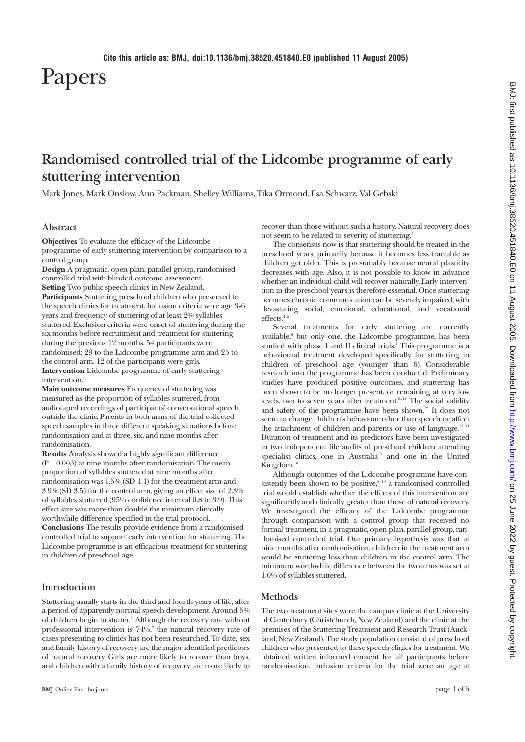# Papers

# **Randomised controlled trial of the Lidcombe programme of early stuttering intervention**

Mark Jones, Mark Onslow, Ann Packman, Shelley Williams, Tika Ormond, Ilsa Schwarz, Val Gebski

# **Abstract**

**Objectives** To evaluate the efficacy of the Lidcombe programme of early stuttering intervention by comparison to a control group.

**Design** A pragmatic, open plan, parallel group, randomised controlled trial with blinded outcome assessment.

**Setting** Two public speech clinics in New Zealand.

**Participants** Stuttering preschool children who presented to the speech clinics for treatment. Inclusion criteria were age 3-6 years and frequency of stuttering of at least 2% syllables stuttered. Exclusion criteria were onset of stuttering during the six months before recruitment and treatment for stuttering during the previous 12 months. 54 participants were randomised: 29 to the Lidcombe programme arm and 25 to the control arm. 12 of the participants were girls. **Intervention** Lidcombe programme of early stuttering intervention.

**Main outcome measures** Frequency of stuttering was measured as the proportion of syllables stuttered, from audiotaped recordings of participants' conversational speech outside the clinic. Parents in both arms of the trial collected speech samples in three different speaking situations before randomisation and at three, six, and nine months after randomisation.

**Results** Analysis showed a highly significant difference  $(P = 0.003)$  at nine months after randomisation. The mean proportion of syllables stuttered at nine months after randomisation was 1.5% (SD 1.4) for the treatment arm and 3.9% (SD 3.5) for the control arm, giving an effect size of 2.3% of syllables stuttered (95% confidence interval 0.8 to 3.9). This effect size was more than double the minimum clinically worthwhile difference specified in the trial protocol. **Conclusions** The results provide evidence from a randomised controlled trial to support early intervention for stuttering. The Lidcombe programme is an efficacious treatment for stuttering in children of preschool age.

# **Introduction**

Stuttering usually starts in the third and fourth years of life, after a period of apparently normal speech development. Around 5% of children begin to stutter.<sup>1</sup> Although the recovery rate without professional intervention is  $74\%$ <sup>2</sup> the natural recovery rate of cases presenting to clinics has not been researched. To date, sex and family history of recovery are the major identified predictors of natural recovery. Girls are more likely to recover than boys, and children with a family history of recovery are more likely to recover than those without such a history. Natural recovery does not seem to be related to severity of stuttering.<sup>3</sup>

The consensus now is that stuttering should be treated in the preschool years, primarily because it becomes less tractable as children get older. This is presumably because neural plasticity decreases with age. Also, it is not possible to know in advance whether an individual child will recover naturally. Early intervention in the preschool years is therefore essential. Once stuttering becomes chronic, communication can be severely impaired, with devastating social, emotional, educational, and vocational  $effects<sup>43</sup>$ 

Several treatments for early stuttering are currently available,<sup>6</sup> but only one, the Lidcombe programme, has been studied with phase I and II clinical trials.<sup>7</sup> This programme is a behavioural treatment developed specifically for stuttering in children of preschool age (younger than 6). Considerable research into the programme has been conducted. Preliminary studies have produced positive outcomes, and stuttering has been shown to be no longer present, or remaining at very low levels, two to seven years after treatment.<sup>8-11</sup> The social validity and safety of the programme have been shown.12 It does not seem to change children's behaviour other than speech or affect the attachment of children and parents or use of language.<sup>13 14</sup> Duration of treatment and its predictors have been investigated in two independent file audits of preschool children attending specialist clinics, one in Australia<sup>15</sup> and one in the United Kingdom. $16$ 

Although outcomes of the Lidcombe programme have consistently been shown to be positive,<sup>8-16</sup> a randomised controlled trial would establish whether the effects of this intervention are significantly and clinically greater than those of natural recovery. We investigated the efficacy of the Lidcombe programme through comparison with a control group that received no formal treatment, in a pragmatic, open plan, parallel group, randomised controlled trial. Our primary hypothesis was that at nine months after randomisation, children in the treatment arm would be stuttering less than children in the control arm. The minimum worthwhile difference between the two arms was set at 1.0% of syllables stuttered.

# **Methods**

The two treatment sites were the campus clinic at the University of Canterbury (Christchurch, New Zealand) and the clinic at the premises of the Stuttering Treatment and Research Trust (Auckland, New Zealand). The study population consisted of preschool children who presented to these speech clinics for treatment. We obtained written informed consent for all participants before randomisation. Inclusion criteria for the trial were an age at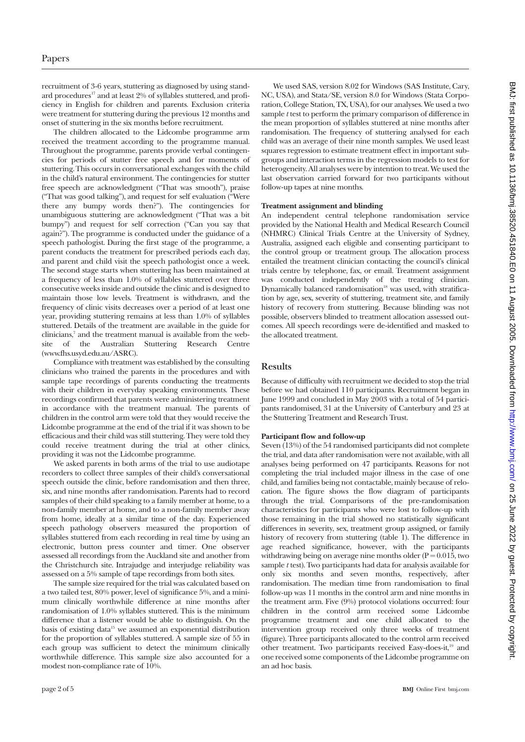recruitment of 3-6 years, stuttering as diagnosed by using standard procedures<sup>17</sup> and at least 2% of syllables stuttered, and proficiency in English for children and parents. Exclusion criteria were treatment for stuttering during the previous 12 months and onset of stuttering in the six months before recruitment.

The children allocated to the Lidcombe programme arm received the treatment according to the programme manual. Throughout the programme, parents provide verbal contingencies for periods of stutter free speech and for moments of stuttering. This occurs in conversational exchanges with the child in the child's natural environment. The contingencies for stutter free speech are acknowledgment ("That was smooth"), praise ("That was good talking"), and request for self evaluation ("Were there any bumpy words then?"). The contingencies for unambiguous stuttering are acknowledgment ("That was a bit bumpy") and request for self correction ("Can you say that again?"). The programme is conducted under the guidance of a speech pathologist. During the first stage of the programme, a parent conducts the treatment for prescribed periods each day, and parent and child visit the speech pathologist once a week. The second stage starts when stuttering has been maintained at a frequency of less than 1.0% of syllables stuttered over three consecutive weeks inside and outside the clinic and is designed to maintain those low levels. Treatment is withdrawn, and the frequency of clinic visits decreases over a period of at least one year, providing stuttering remains at less than 1.0% of syllables stuttered. Details of the treatment are available in the guide for clinicians,<sup>7</sup> and the treatment manual is available from the website of the Australian Stuttering Research Centre (www.fhs.usyd.edu.au/ASRC).

Compliance with treatment was established by the consulting clinicians who trained the parents in the procedures and with sample tape recordings of parents conducting the treatments with their children in everyday speaking environments. These recordings confirmed that parents were administering treatment in accordance with the treatment manual. The parents of children in the control arm were told that they would receive the Lidcombe programme at the end of the trial if it was shown to be efficacious and their child was still stuttering. They were told they could receive treatment during the trial at other clinics, providing it was not the Lidcombe programme.

We asked parents in both arms of the trial to use audiotape recorders to collect three samples of their child's conversational speech outside the clinic, before randomisation and then three, six, and nine months after randomisation. Parents had to record samples of their child speaking to a family member at home, to a non-family member at home, and to a non-family member away from home, ideally at a similar time of the day. Experienced speech pathology observers measured the proportion of syllables stuttered from each recording in real time by using an electronic, button press counter and timer. One observer assessed all recordings from the Auckland site and another from the Christchurch site. Intrajudge and interjudge reliability was assessed on a 5% sample of tape recordings from both sites.

The sample size required for the trial was calculated based on a two tailed test, 80% power, level of significance 5%, and a minimum clinically worthwhile difference at nine months after randomisation of 1.0% syllables stuttered. This is the minimum difference that a listener would be able to distinguish. On the basis of existing data<sup>15</sup> we assumed an exponential distribution for the proportion of syllables stuttered. A sample size of 55 in each group was sufficient to detect the minimum clinically worthwhile difference. This sample size also accounted for a modest non-compliance rate of 10%.

We used SAS, version 8.02 for Windows (SAS Institute, Cary, NC, USA), and Stata/SE, version 8.0 for Windows (Stata Corporation, College Station, TX, USA), for our analyses. We used a two sample *t* test to perform the primary comparison of difference in the mean proportion of syllables stuttered at nine months after randomisation. The frequency of stuttering analysed for each child was an average of their nine month samples. We used least squares regression to estimate treatment effect in important subgroups and interaction terms in the regression models to test for heterogeneity. All analyses were by intention to treat. We used the last observation carried forward for two participants without follow-up tapes at nine months.

#### **Treatment assignment and blinding**

An independent central telephone randomisation service provided by the National Health and Medical Research Council (NHMRC) Clinical Trials Centre at the University of Sydney, Australia, assigned each eligible and consenting participant to the control group or treatment group. The allocation process entailed the treatment clinician contacting the council's clinical trials centre by telephone, fax, or email. Treatment assignment was conducted independently of the treating clinician. Dynamically balanced randomisation<sup>18</sup> was used, with stratification by age, sex, severity of stuttering, treatment site, and family history of recovery from stuttering. Because blinding was not possible, observers blinded to treatment allocation assessed outcomes. All speech recordings were de-identified and masked to the allocated treatment.

# **Results**

Because of difficulty with recruitment we decided to stop the trial before we had obtained 110 participants. Recruitment began in June 1999 and concluded in May 2003 with a total of 54 participants randomised, 31 at the University of Canterbury and 23 at the Stuttering Treatment and Research Trust.

#### **Participant flow and follow-up**

Seven (13%) of the 54 randomised participants did not complete the trial, and data after randomisation were not available, with all analyses being performed on 47 participants. Reasons for not completing the trial included major illness in the case of one child, and families being not contactable, mainly because of relocation. The figure shows the flow diagram of participants through the trial. Comparisons of the pre-randomisation characteristics for participants who were lost to follow-up with those remaining in the trial showed no statistically significant differences in severity, sex, treatment group assigned, or family history of recovery from stuttering (table 1). The difference in age reached significance, however, with the participants withdrawing being on average nine months older  $(P = 0.015$ , two sample *t* test). Two participants had data for analysis available for only six months and seven months, respectively, after randomisation. The median time from randomisation to final follow-up was 11 months in the control arm and nine months in the treatment arm. Five (9%) protocol violations occurred: four children in the control arm received some Lidcombe programme treatment and one child allocated to the intervention group received only three weeks of treatment (figure). Three participants allocated to the control arm received other treatment. Two participants received Easy-does-it,<sup>19</sup> and one received some components of the Lidcombe programme on an ad hoc basis.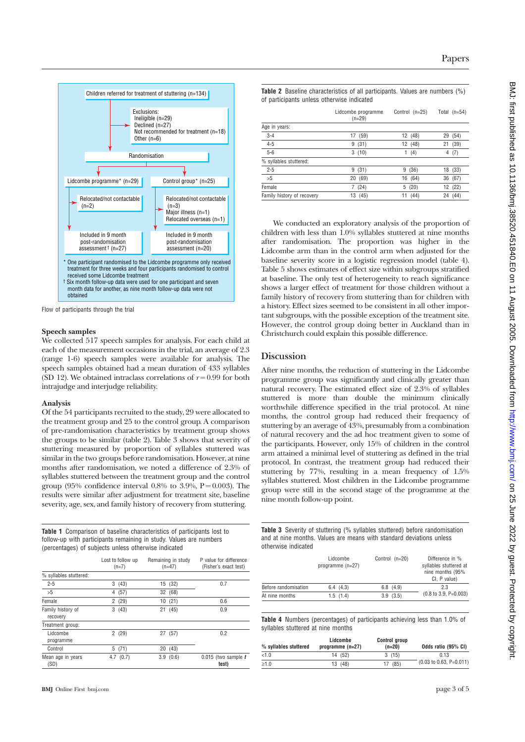

Flow of participants through the trial

#### **Speech samples**

We collected 517 speech samples for analysis. For each child at each of the measurement occasions in the trial, an average of 2.3 (range 1-6) speech samples were available for analysis. The speech samples obtained had a mean duration of 433 syllables (SD 12). We obtained intraclass correlations of  $r = 0.99$  for both intrajudge and interjudge reliability.

#### **Analysis**

Of the 54 participants recruited to the study, 29 were allocated to the treatment group and 25 to the control group. A comparison of pre-randomisation characteristics by treatment group shows the groups to be similar (table 2). Table 3 shows that severity of stuttering measured by proportion of syllables stuttered was similar in the two groups before randomisation. However, at nine months after randomisation, we noted a difference of 2.3% of syllables stuttered between the treatment group and the control group (95% confidence interval 0.8% to  $3.9\%$ , P = 0.003). The results were similar after adjustment for treatment site, baseline severity, age, sex, and family history of recovery from stuttering.

**Table 1** Comparison of baseline characteristics of participants lost to follow-up with participants remaining in study. Values are numbers (percentages) of subjects unless otherwise indicated

|                               | Lost to follow up<br>$(n=7)$ | Remaining in study<br>$(n=47)$ | P value for difference<br>(Fisher's exact test) |
|-------------------------------|------------------------------|--------------------------------|-------------------------------------------------|
| % syllables stuttered:        |                              |                                |                                                 |
| $2 - 5$                       | 3<br>(43)                    | 15 (32)                        | 0.7                                             |
| >5                            | (57)<br>4                    | (68)<br>32                     |                                                 |
| Female                        | (29)<br>2                    | (21)<br>10                     | 0.6                                             |
| Family history of<br>recovery | 3(43)                        | 21(45)                         | 0.9                                             |
| Treatment group:              |                              |                                |                                                 |
| Lidcombe<br>programme         | 2(29)                        | 27(57)                         | 0.2                                             |
| Control                       | 5<br>(71)                    | 20 (43)                        |                                                 |
| Mean age in years<br>(SD)     | $4.7$ $(0.7)$                | 3.9(0.6)                       | $0.015$ (two sample $t$<br>test)                |

**Table 2** Baseline characteristics of all participants. Values are numbers (%) of participants unless otherwise indicated

|                            | Lidcombe programme<br>$(n=29)$ | Control (n=25) | Total $(n=54)$ |
|----------------------------|--------------------------------|----------------|----------------|
| Age in years:              |                                |                |                |
| $3 - 4$                    | 17 (59)                        | 12 (48)        | (54)<br>29     |
| $4 - 5$                    | (31)<br>9                      | 12 (48)        | (39)<br>21     |
| $5-6$                      | 3(10)                          | (4)<br>1       | (7)<br>4       |
| % syllables stuttered:     |                                |                |                |
| $2 - 5$                    | 9(31)                          | (36)<br>9      | (33)<br>18     |
| >5                         | 20 (69)                        | 16 (64)        | (67)<br>36     |
| Female                     | 7(24)                          | 5(20)          | (22)<br>12     |
| Family history of recovery | 13 (45)                        | 11(44)         | (44)<br>24     |

We conducted an exploratory analysis of the proportion of children with less than 1.0% syllables stuttered at nine months after randomisation. The proportion was higher in the Lidcombe arm than in the control arm when adjusted for the baseline severity score in a logistic regression model (table 4). Table 5 shows estimates of effect size within subgroups stratified at baseline. The only test of heterogeneity to reach significance shows a larger effect of treatment for those children without a family history of recovery from stuttering than for children with a history. Effect sizes seemed to be consistent in all other important subgroups, with the possible exception of the treatment site. However, the control group doing better in Auckland than in Christchurch could explain this possible difference.

# **Discussion**

After nine months, the reduction of stuttering in the Lidcombe programme group was significantly and clinically greater than natural recovery. The estimated effect size of 2.3% of syllables stuttered is more than double the minimum clinically worthwhile difference specified in the trial protocol. At nine months, the control group had reduced their frequency of stuttering by an average of 43%, presumably from a combination of natural recovery and the ad hoc treatment given to some of the participants. However, only 15% of children in the control arm attained a minimal level of stuttering as defined in the trial protocol. In contrast, the treatment group had reduced their stuttering by 77%, resulting in a mean frequency of 1.5% syllables stuttered. Most children in the Lidcombe programme group were still in the second stage of the programme at the nine month follow-up point.

**Table 3** Severity of stuttering (% syllables stuttered) before randomisation and at nine months. Values are means with standard deviations unless otherwise indicated

|                      | Lidcombe<br>programme $(n=27)$ | Control (n=20) | Difference in %<br>syllables stuttered at<br>nine months (95%<br>CI, P value) |
|----------------------|--------------------------------|----------------|-------------------------------------------------------------------------------|
| Before randomisation | 6.4(4.3)                       | 6.8(4.9)       | 23                                                                            |
| At nine months       | 1.5(1.4)                       | 3.9(3.5)       | $(0.8 \text{ to } 3.9, \text{ P} = 0.003)$                                    |
|                      |                                |                |                                                                               |

**Table 4** Numbers (percentages) of participants achieving less than 1.0% of syllables stuttered at nine months

| % syllables stuttered | Lidcombe<br>programme $(n=27)$ | <b>Control group</b><br>$(n=20)$ | Odds ratio (95% CI)                |
|-----------------------|--------------------------------|----------------------------------|------------------------------------|
| < 1.0                 | 14 (52)                        | 3(15)                            | 013                                |
| >1.0                  | 13 (48)                        | 17 (85)                          | $(0.03 \text{ to } 0.63, P=0.011)$ |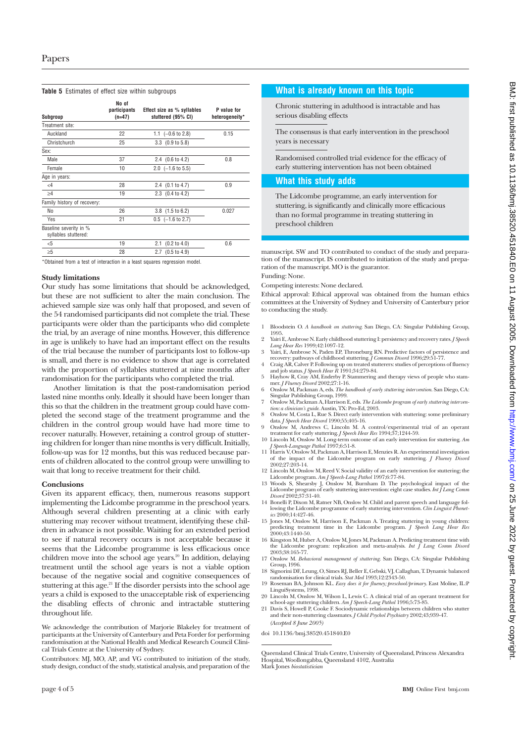#### **Table 5** Estimates of effect size within subgroups

| Subgroup                                       | No of<br>participants<br>$(n=47)$ | Effect size as % syllables<br>stuttered (95% CI) | P value for<br>heterogeneity* |
|------------------------------------------------|-----------------------------------|--------------------------------------------------|-------------------------------|
| Treatment site:                                |                                   |                                                  |                               |
| Auckland                                       | 22                                | 1.1 $(-0.6 \text{ to } 2.8)$                     | 0.15                          |
| Christchurch                                   | 25                                | 3.3 (0.9 to 5.8)                                 |                               |
| Sex:                                           |                                   |                                                  |                               |
| Male                                           | 37                                | 2.4 (0.6 to 4.2)                                 | 0.8                           |
| Female                                         | 10                                | $2.0$ (-1.6 to 5.5)                              |                               |
| Age in years:                                  |                                   |                                                  |                               |
| $\leq$ 4                                       | 28                                | (0.1 to 4.7)<br>2.4                              | 0.9                           |
| $\geq 4$                                       | 19                                | 2.3 (0.4 to 4.2)                                 |                               |
| Family history of recovery:                    |                                   |                                                  |                               |
| No                                             | 26                                | $3.8$ $(1.5 \text{ to } 6.2)$                    | 0.027                         |
| Yes                                            | 21                                | $0.5$ $(-1.6 \text{ to } 2.7)$                   |                               |
| Baseline severity in %<br>syllables stuttered: |                                   |                                                  |                               |
| $5$                                            | 19                                | $(0.2 \text{ to } 4.0)$<br>2.1                   | 0.6                           |
| $\geq 5$                                       | 28                                | $(0.5 \text{ to } 4.9)$<br>2.7                   |                               |

\*Obtained from a test of interaction in a least squares regression model.

#### **Study limitations**

Our study has some limitations that should be acknowledged, but these are not sufficient to alter the main conclusion. The achieved sample size was only half that proposed, and seven of the 54 randomised participants did not complete the trial. These participants were older than the participants who did complete the trial, by an average of nine months. However, this difference in age is unlikely to have had an important effect on the results of the trial because the number of participants lost to follow-up is small, and there is no evidence to show that age is correlated with the proportion of syllables stuttered at nine months after randomisation for the participants who completed the trial.

Another limitation is that the post-randomisation period lasted nine months only. Ideally it should have been longer than this so that the children in the treatment group could have completed the second stage of the treatment programme and the children in the control group would have had more time to recover naturally. However, retaining a control group of stuttering children for longer than nine months is very difficult. Initially, follow-up was for 12 months, but this was reduced because parents of children allocated to the control group were unwilling to wait that long to receive treatment for their child.

#### **Conclusions**

Given its apparent efficacy, then, numerous reasons support implementing the Lidcombe programme in the preschool years. Although several children presenting at a clinic with early stuttering may recover without treatment, identifying these children in advance is not possible. Waiting for an extended period to see if natural recovery occurs is not acceptable because it seems that the Lidcombe programme is less efficacious once children move into the school age years.<sup>20</sup> In addition, delaying treatment until the school age years is not a viable option because of the negative social and cognitive consequences of stuttering at this age.<sup>21</sup> If the disorder persists into the school age years a child is exposed to the unacceptable risk of experiencing the disabling effects of chronic and intractable stuttering throughout life.

We acknowledge the contribution of Marjorie Blakeley for treatment of participants at the University of Canterbury and Peta Forder for performing randomisation at the National Health and Medical Research Council Clinical Trials Centre at the University of Sydney.

Contributors: MJ, MO, AP, and VG contributed to initiation of the study, study design, conduct of the study, statistical analysis, and preparation of the

# **What is already known on this topic**

Chronic stuttering in adulthood is intractable and has serious disabling effects

The consensus is that early intervention in the preschool years is necessary

Randomised controlled trial evidence for the efficacy of early stuttering intervention has not been obtained

#### **What this study adds**

The Lidcombe programme, an early intervention for stuttering, is significantly and clinically more efficacious than no formal programme in treating stuttering in preschool children

manuscript. SW and TO contributed to conduct of the study and preparation of the manuscript. IS contributed to initiation of the study and preparation of the manuscript. MO is the guarantor. Funding: None.

Competing interests: None declared.

Ethical approval: Ethical approval was obtained from the human ethics committees at the University of Sydney and University of Canterbury prior to conducting the study.

- 1 Bloodstein O. *A handbook on stuttering.* San Diego, CA: Singular Publishing Group, 1995.
- 2 Yairi E, Ambrose N. Early childhood stuttering I: persistency and recovery rates. *J Speech Lang Hear Res* 1999;42:1097-12. 3 Yairi, E, Ambrose N, Paden EP, Throneburg RN. Predictive factors of persistence and
- recovery: pathways of childhood stuttering. *J Commun Disord* 1996;29:51-77. 4 Craig AR, Calver P. Following up on treated stutterers: studies of perceptions of fluency
- and job status. *J Speech Hear R* 1991;34:279-84. 5 Hayhow R, Cray AM, Enderby P. Stammering and therapy views of people who stam-
- mer. *J Fluency Disord* 2002;27:1-16.
- 6 Onslow M, Packman A, eds. *The handbook of early stuttering intervention*. San Diego, CA: Singular Publishing Group, 1999.
- 7 Onslow M, Packman A, Harrison E, eds. *The Lidcombe program of early stuttering interven-tion: a clinician's guide*. Austin, TX: Pro-Ed, 2003. 8 Onslow M, Costa L, Rue S. Direct early intervention with stuttering: some preliminary
- data. *J Speech Hear Disord* 1990;55;405-16.
- 9 Onslow M, Andrews C, Lincoln M. A control/experimental trial of an operant treatment for early stuttering. J Speech Hear Res 1994;37;1244-59.<br>10 Lincoln M, Onslow M. Long-term outcome of an early intervention for stutter
- 
- of the impact of the Lidcombe program on early stuttering. *J Fluency Disord* 2002;27:203-14.
- 12 Lincoln M, Onslow M, Reed V. Social validity of an early intervention for stuttering; the Lidcombe program. *Am J Speech-Lang Pathol* 1997;6:77-84.
- 13 Woods S, Shearsby J, Onslow M, Burnham D. The psychological impact of the Lidcombe program of early stuttering intervention: eight case studies. *Int J Lang Comm Disord* 2002;37:31-40.
- Bonelli P, Dixon M, Ratner NB, Onslow M. Child and parent speech and language following the Lidcombe programme of early stuttering intervention. *Clin Linguist Phonetics* 2000;14:427-46.
- 15 Jones M, Onslow M, Harrison E, Packman A. Treating stuttering in young children: predicting treatment time in the Lidcombe program. *J Speech Lang Hear Res*  $2000.43.1440.50$
- 16 Kingston M, Huber A, Onslow M, Jones M, Packman A. Predicting treatment time with the Lidcombe program: replication and meta-analysis. *Int J Lang Comm Disord* 2003;38:165-77.
- 17 Onslow M. *Behavioral management of stuttering*. San Diego, CA: Singular Publishing Group, 1996. 18 Signorini DF, Leung, O, Simes RJ, Beller E, Gebski, VJ, Callaghan, T. Dynamic balanced
- randomisation for clinical trials. *Stat Med* 1993;12:2343-50.
- 19 Roseman BA, Johnson KL. *Easy does it for fluency; preschool/primary*. East Moline, IL:P LinguiSystems, 1998. 20 Lincoln M, Onslow M, Wilson L, Lewis C. A clinical trial of an operant treatment for
- school-age stuttering children. *Am J Speech-Lang Pathol* 1996;5:73-85. 21 Davis S, Howell P, Cooke F. Sociodynamic relationships between children who stutter
- and their non-stuttering classmates. *J Child Psychol Psychiatry* 2002;43;939-47. *(Accepted 8 June 2005)*

doi 10.1136/bmj.38520.451840.E0

Queensland Clinical Trials Centre, University of Queensland, Princess Alexandra Hospital, Woollongabba, Queensland 4102, Australia Mark Jones *biostatistician*